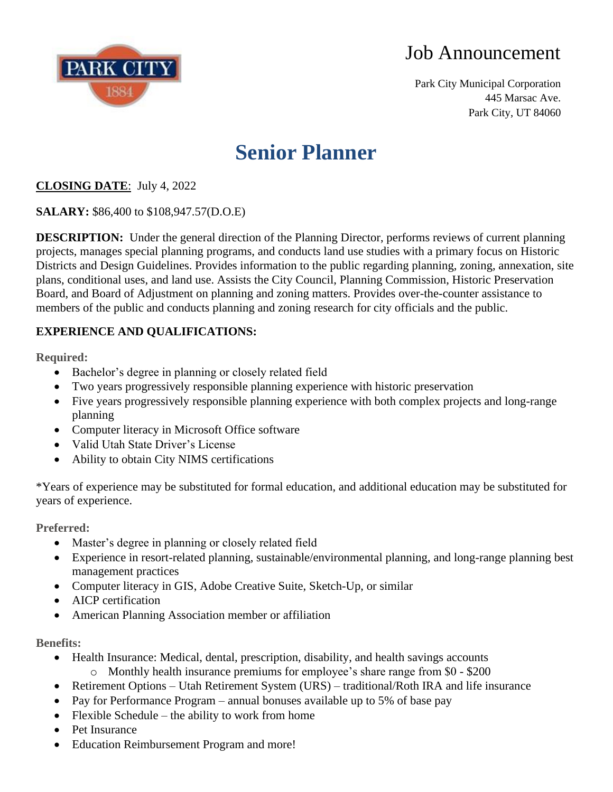

Park City Municipal Corporation 445 Marsac Ave. Park City, UT 84060

# **Senior Planner**

### **CLOSING DATE**: July 4, 2022

**SALARY:** \$86,400 to \$108,947.57(D.O.E)

**DESCRIPTION:** Under the general direction of the Planning Director, performs reviews of current planning projects, manages special planning programs, and conducts land use studies with a primary focus on Historic Districts and Design Guidelines. Provides information to the public regarding planning, zoning, annexation, site plans, conditional uses, and land use. Assists the City Council, Planning Commission, Historic Preservation Board, and Board of Adjustment on planning and zoning matters. Provides over-the-counter assistance to members of the public and conducts planning and zoning research for city officials and the public.

### **EXPERIENCE AND QUALIFICATIONS:**

**Required:**

- Bachelor's degree in planning or closely related field
- Two years progressively responsible planning experience with historic preservation
- Five years progressively responsible planning experience with both complex projects and long-range planning
- Computer literacy in Microsoft Office software
- Valid Utah State Driver's License
- Ability to obtain City NIMS certifications

\*Years of experience may be substituted for formal education, and additional education may be substituted for years of experience.

**Preferred:**

- Master's degree in planning or closely related field
- Experience in resort-related planning, sustainable/environmental planning, and long-range planning best management practices
- Computer literacy in GIS, Adobe Creative Suite, Sketch-Up, or similar
- AICP certification
- American Planning Association member or affiliation

**Benefits:**

- Health Insurance: Medical, dental, prescription, disability, and health savings accounts o Monthly health insurance premiums for employee's share range from \$0 - \$200
- Retirement Options Utah Retirement System (URS) traditional/Roth IRA and life insurance
- Pay for Performance Program annual bonuses available up to 5% of base pay
- Flexible Schedule the ability to work from home
- Pet Insurance
- Education Reimbursement Program and more!